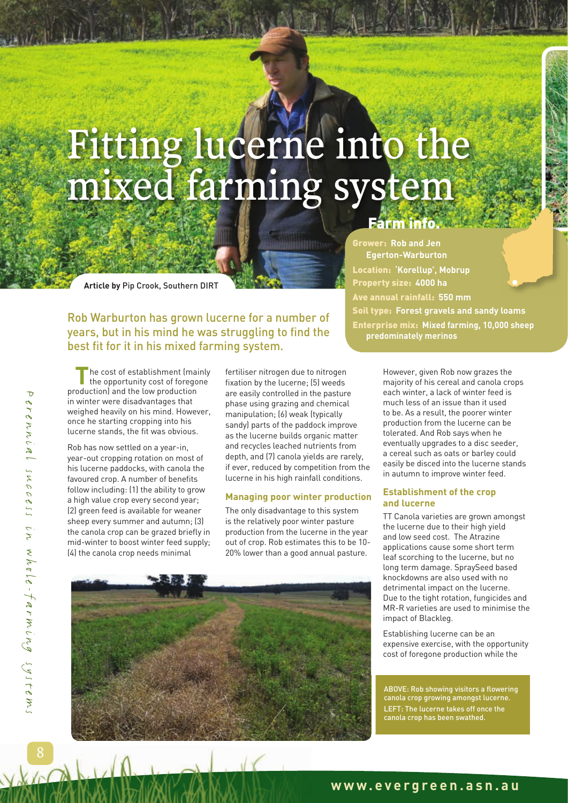# Fitting lucerne into the mixed farming system

**Article by** Pip Crook, Southern DIRT

Rob Warburton has grown lucerne for a number of years, but in his mind he was struggling to find the best fit for it in his mixed farming system.

**T**he cost of establishment (mainly the opportunity cost of foregone production) and the low production in winter were disadvantages that weighed heavily on his mind. However, once he starting cropping into his lucerne stands, the fit was obvious.

Rob has now settled on a year-in, year-out cropping rotation on most of his lucerne paddocks, with canola the favoured crop. A number of benefits follow including: (1) the ability to grow a high value crop every second year; (2) green feed is available for weaner sheep every summer and autumn; (3) the canola crop can be grazed briefly in mid-winter to boost winter feed supply; (4) the canola crop needs minimal

fertiliser nitrogen due to nitrogen fixation by the lucerne; (5) weeds are easily controlled in the pasture phase using grazing and chemical manipulation; (6) weak (typically sandy) parts of the paddock improve as the lucerne builds organic matter and recycles leached nutrients from depth, and (7) canola yields are rarely, if ever, reduced by competition from the lucerne in his high rainfall conditions.

**HBH**ho

#### **Managing poor winter production**

The only disadvantage to this system is the relatively poor winter pasture production from the lucerne in the year out of crop. Rob estimates this to be 10- 20% lower than a good annual pasture.



## Farm info.

Grower: **Rob and Jen Egerton-Warburton** Location: **'Korellup', Mobrup** Property size: **4000 ha** Ave annual rainfall: **550 mm** Soil type: **Forest gravels and sandy loams** Enterprise mix: **Mixed farming, 10,000 sheep predominately merinos** 

> However, given Rob now grazes the majority of his cereal and canola crops each winter, a lack of winter feed is much less of an issue than it used to be. As a result, the poorer winter production from the lucerne can be tolerated. And Rob says when he eventually upgrades to a disc seeder, a cereal such as oats or barley could easily be disced into the lucerne stands in autumn to improve winter feed.

#### **Establishment of the crop and lucerne**

TT Canola varieties are grown amongst the lucerne due to their high yield and low seed cost. The Atrazine applications cause some short term leaf scorching to the lucerne, but no long term damage. SpraySeed based knockdowns are also used with no detrimental impact on the lucerne. Due to the tight rotation, fungicides and MR-R varieties are used to minimise the impact of Blackleg.

Establishing lucerne can be an expensive exercise, with the opportunity cost of foregone production while the

ABOVE: Rob showing visitors a flowering canola crop growing amongst lucerne. LEFT: The lucerne takes off once the canola crop has been swathed.

Perennial success in whole-farming systems 'CLENNUM SUCCSSS UN WAULE-TAFMUNG SYSTEM.

 $\overline{D}$ 

8

## **www.evergreen.asn.au**